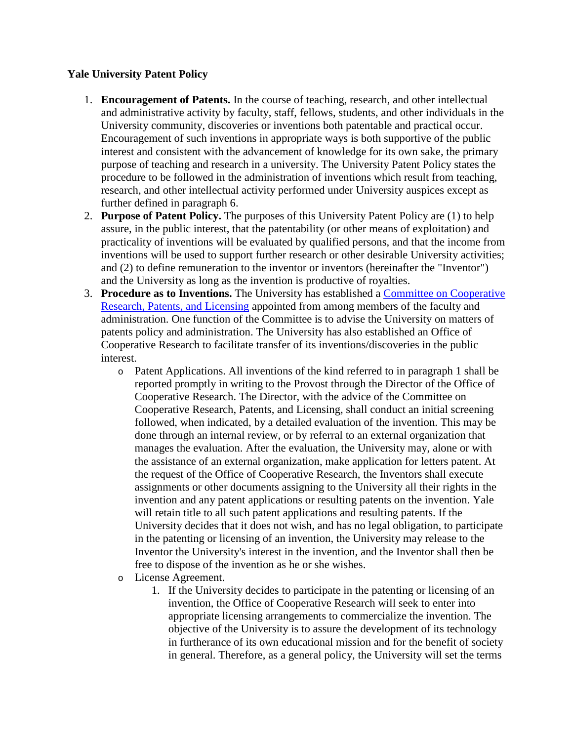## **Yale University Patent Policy**

- 1. **Encouragement of Patents.** In the course of teaching, research, and other intellectual and administrative activity by faculty, staff, fellows, students, and other individuals in the University community, discoveries or inventions both patentable and practical occur. Encouragement of such inventions in appropriate ways is both supportive of the public interest and consistent with the advancement of knowledge for its own sake, the primary purpose of teaching and research in a university. The University Patent Policy states the procedure to be followed in the administration of inventions which result from teaching, research, and other intellectual activity performed under University auspices except as further defined in paragraph 6.
- 2. **Purpose of Patent Policy.** The purposes of this University Patent Policy are (1) to help assure, in the public interest, that the patentability (or other means of exploitation) and practicality of inventions will be evaluated by qualified persons, and that the income from inventions will be used to support further research or other desirable University activities; and (2) to define remuneration to the inventor or inventors (hereinafter the "Inventor") and the University as long as the invention is productive of royalties.
- 3. **Procedure as to Inventions.** The University has established a [Committee on Cooperative](http://provost.yale.edu/committees)  [Research, Patents, and Licensing](http://provost.yale.edu/committees) appointed from among members of the faculty and administration. One function of the Committee is to advise the University on matters of patents policy and administration. The University has also established an Office of Cooperative Research to facilitate transfer of its inventions/discoveries in the public interest.
	- o Patent Applications. All inventions of the kind referred to in paragraph 1 shall be reported promptly in writing to the Provost through the Director of the Office of Cooperative Research. The Director, with the advice of the Committee on Cooperative Research, Patents, and Licensing, shall conduct an initial screening followed, when indicated, by a detailed evaluation of the invention. This may be done through an internal review, or by referral to an external organization that manages the evaluation. After the evaluation, the University may, alone or with the assistance of an external organization, make application for letters patent. At the request of the Office of Cooperative Research, the Inventors shall execute assignments or other documents assigning to the University all their rights in the invention and any patent applications or resulting patents on the invention. Yale will retain title to all such patent applications and resulting patents. If the University decides that it does not wish, and has no legal obligation, to participate in the patenting or licensing of an invention, the University may release to the Inventor the University's interest in the invention, and the Inventor shall then be free to dispose of the invention as he or she wishes.
	- o License Agreement.
		- 1. If the University decides to participate in the patenting or licensing of an invention, the Office of Cooperative Research will seek to enter into appropriate licensing arrangements to commercialize the invention. The objective of the University is to assure the development of its technology in furtherance of its own educational mission and for the benefit of society in general. Therefore, as a general policy, the University will set the terms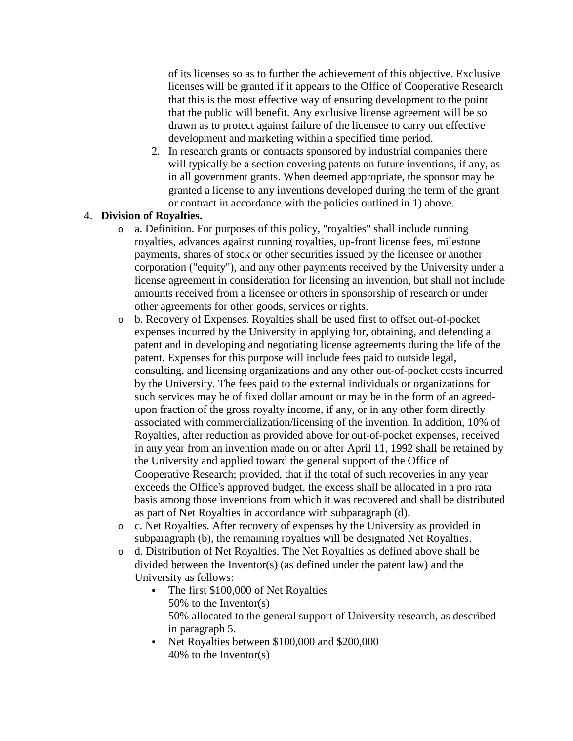of its licenses so as to further the achievement of this objective. Exclusive licenses will be granted if it appears to the Office of Cooperative Research that this is the most effective way of ensuring development to the point that the public will benefit. Any exclusive license agreement will be so drawn as to protect against failure of the licensee to carry out effective development and marketing within a specified time period.

2. In research grants or contracts sponsored by industrial companies there will typically be a section covering patents on future inventions, if any, as in all government grants. When deemed appropriate, the sponsor may be granted a license to any inventions developed during the term of the grant or contract in accordance with the policies outlined in 1) above.

## 4. **Division of Royalties.**

- o a. Definition. For purposes of this policy, "royalties" shall include running royalties, advances against running royalties, up-front license fees, milestone payments, shares of stock or other securities issued by the licensee or another corporation ("equity"), and any other payments received by the University under a license agreement in consideration for licensing an invention, but shall not include amounts received from a licensee or others in sponsorship of research or under other agreements for other goods, services or rights.
- o b. Recovery of Expenses. Royalties shall be used first to offset out-of-pocket expenses incurred by the University in applying for, obtaining, and defending a patent and in developing and negotiating license agreements during the life of the patent. Expenses for this purpose will include fees paid to outside legal, consulting, and licensing organizations and any other out-of-pocket costs incurred by the University. The fees paid to the external individuals or organizations for such services may be of fixed dollar amount or may be in the form of an agreedupon fraction of the gross royalty income, if any, or in any other form directly associated with commercialization/licensing of the invention. In addition, 10% of Royalties, after reduction as provided above for out-of-pocket expenses, received in any year from an invention made on or after April 11, 1992 shall be retained by the University and applied toward the general support of the Office of Cooperative Research; provided, that if the total of such recoveries in any year exceeds the Office's approved budget, the excess shall be allocated in a pro rata basis among those inventions from which it was recovered and shall be distributed as part of Net Royalties in accordance with subparagraph (d).
- o c. Net Royalties. After recovery of expenses by the University as provided in subparagraph (b), the remaining royalties will be designated Net Royalties.
- o d. Distribution of Net Royalties. The Net Royalties as defined above shall be divided between the Inventor(s) (as defined under the patent law) and the University as follows:
	- The first \$100,000 of Net Royalties 50% to the Inventor(s) 50% allocated to the general support of University research, as described in paragraph 5.
	- Net Royalties between \$100,000 and \$200,000 40% to the Inventor(s)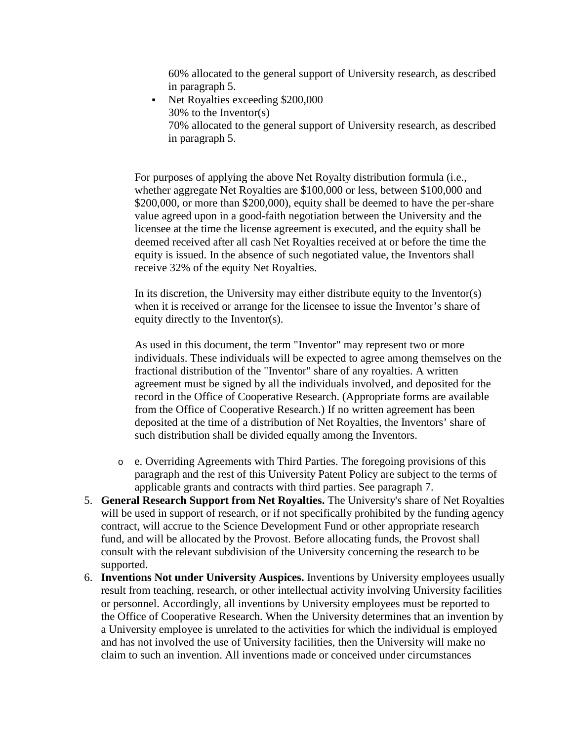60% allocated to the general support of University research, as described in paragraph 5.

 Net Royalties exceeding \$200,000 30% to the Inventor(s) 70% allocated to the general support of University research, as described in paragraph 5.

For purposes of applying the above Net Royalty distribution formula (i.e., whether aggregate Net Royalties are \$100,000 or less, between \$100,000 and \$200,000, or more than \$200,000), equity shall be deemed to have the per-share value agreed upon in a good-faith negotiation between the University and the licensee at the time the license agreement is executed, and the equity shall be deemed received after all cash Net Royalties received at or before the time the equity is issued. In the absence of such negotiated value, the Inventors shall receive 32% of the equity Net Royalties.

In its discretion, the University may either distribute equity to the Inventor(s) when it is received or arrange for the licensee to issue the Inventor's share of equity directly to the Inventor(s).

As used in this document, the term "Inventor" may represent two or more individuals. These individuals will be expected to agree among themselves on the fractional distribution of the "Inventor" share of any royalties. A written agreement must be signed by all the individuals involved, and deposited for the record in the Office of Cooperative Research. (Appropriate forms are available from the Office of Cooperative Research.) If no written agreement has been deposited at the time of a distribution of Net Royalties, the Inventors' share of such distribution shall be divided equally among the Inventors.

- o e. Overriding Agreements with Third Parties. The foregoing provisions of this paragraph and the rest of this University Patent Policy are subject to the terms of applicable grants and contracts with third parties. See paragraph 7.
- 5. **General Research Support from Net Royalties.** The University's share of Net Royalties will be used in support of research, or if not specifically prohibited by the funding agency contract, will accrue to the Science Development Fund or other appropriate research fund, and will be allocated by the Provost. Before allocating funds, the Provost shall consult with the relevant subdivision of the University concerning the research to be supported.
- 6. **Inventions Not under University Auspices.** Inventions by University employees usually result from teaching, research, or other intellectual activity involving University facilities or personnel. Accordingly, all inventions by University employees must be reported to the Office of Cooperative Research. When the University determines that an invention by a University employee is unrelated to the activities for which the individual is employed and has not involved the use of University facilities, then the University will make no claim to such an invention. All inventions made or conceived under circumstances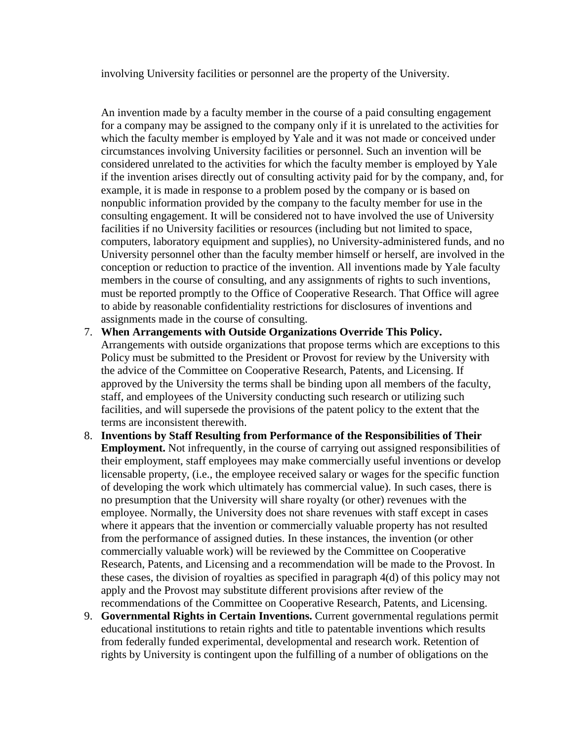involving University facilities or personnel are the property of the University.

An invention made by a faculty member in the course of a paid consulting engagement for a company may be assigned to the company only if it is unrelated to the activities for which the faculty member is employed by Yale and it was not made or conceived under circumstances involving University facilities or personnel. Such an invention will be considered unrelated to the activities for which the faculty member is employed by Yale if the invention arises directly out of consulting activity paid for by the company, and, for example, it is made in response to a problem posed by the company or is based on nonpublic information provided by the company to the faculty member for use in the consulting engagement. It will be considered not to have involved the use of University facilities if no University facilities or resources (including but not limited to space, computers, laboratory equipment and supplies), no University-administered funds, and no University personnel other than the faculty member himself or herself, are involved in the conception or reduction to practice of the invention. All inventions made by Yale faculty members in the course of consulting, and any assignments of rights to such inventions, must be reported promptly to the Office of Cooperative Research. That Office will agree to abide by reasonable confidentiality restrictions for disclosures of inventions and assignments made in the course of consulting.

- 7. **When Arrangements with Outside Organizations Override This Policy.** Arrangements with outside organizations that propose terms which are exceptions to this Policy must be submitted to the President or Provost for review by the University with the advice of the Committee on Cooperative Research, Patents, and Licensing. If approved by the University the terms shall be binding upon all members of the faculty, staff, and employees of the University conducting such research or utilizing such facilities, and will supersede the provisions of the patent policy to the extent that the terms are inconsistent therewith.
- 8. **Inventions by Staff Resulting from Performance of the Responsibilities of Their Employment.** Not infrequently, in the course of carrying out assigned responsibilities of their employment, staff employees may make commercially useful inventions or develop licensable property, (i.e., the employee received salary or wages for the specific function of developing the work which ultimately has commercial value). In such cases, there is no presumption that the University will share royalty (or other) revenues with the employee. Normally, the University does not share revenues with staff except in cases where it appears that the invention or commercially valuable property has not resulted from the performance of assigned duties. In these instances, the invention (or other commercially valuable work) will be reviewed by the Committee on Cooperative Research, Patents, and Licensing and a recommendation will be made to the Provost. In these cases, the division of royalties as specified in paragraph 4(d) of this policy may not apply and the Provost may substitute different provisions after review of the recommendations of the Committee on Cooperative Research, Patents, and Licensing.
- 9. **Governmental Rights in Certain Inventions.** Current governmental regulations permit educational institutions to retain rights and title to patentable inventions which results from federally funded experimental, developmental and research work. Retention of rights by University is contingent upon the fulfilling of a number of obligations on the